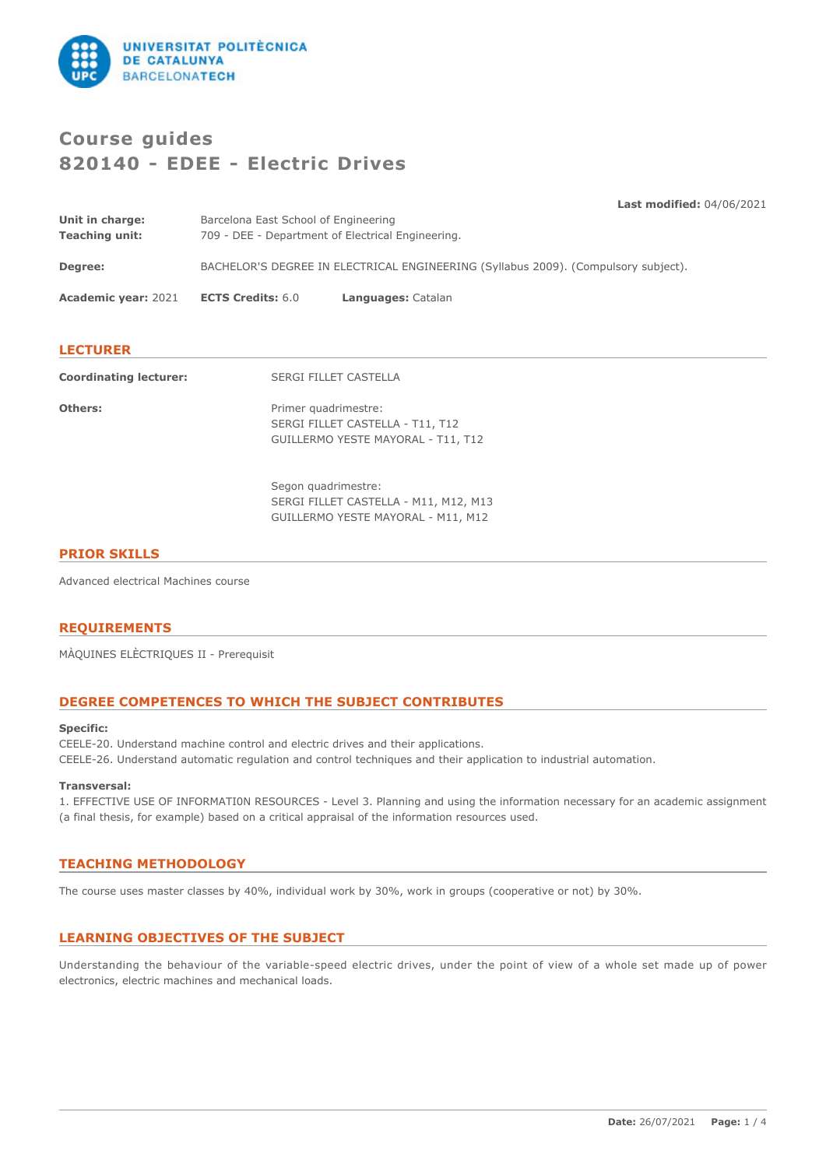

# **Course guides 820140 - EDEE - Electric Drives**

**Last modified:** 04/06/2021

| Unit in charge: | Barcelona East School of Engineering              |
|-----------------|---------------------------------------------------|
| Teaching unit:  | 709 - DEE - Department of Electrical Engineering. |
|                 |                                                   |

**Degree:** BACHELOR'S DEGREE IN ELECTRICAL ENGINEERING (Syllabus 2009). (Compulsory subject).

**Academic year:** 2021 **ECTS Credits:** 6.0 **Languages:** Catalan

# **LECTURER**

| <b>Coordinating lecturer:</b> | <b>SERGI FILLET CASTELLA</b>                                                                       |
|-------------------------------|----------------------------------------------------------------------------------------------------|
| Others:                       | Primer quadrimestre:<br>SERGI FILLET CASTELLA - T11, T12<br>GUILLERMO YESTE MAYORAL - T11, T12     |
|                               | Segon quadrimestre:<br>SERGI FILLET CASTELLA - M11, M12, M13<br>GUILLERMO YESTE MAYORAL - M11, M12 |

# **PRIOR SKILLS**

Advanced electrical Machines course

# **REQUIREMENTS**

MÀQUINES ELÈCTRIQUES II - Prerequisit

# **DEGREE COMPETENCES TO WHICH THE SUBJECT CONTRIBUTES**

### **Specific:**

CEELE-20. Understand machine control and electric drives and their applications. CEELE-26. Understand automatic regulation and control techniques and their application to industrial automation.

### **Transversal:**

1. EFFECTIVE USE OF INFORMATI0N RESOURCES - Level 3. Planning and using the information necessary for an academic assignment (a final thesis, for example) based on a critical appraisal of the information resources used.

# **TEACHING METHODOLOGY**

The course uses master classes by 40%, individual work by 30%, work in groups (cooperative or not) by 30%.

# **LEARNING OBJECTIVES OF THE SUBJECT**

Understanding the behaviour of the variable-speed electric drives, under the point of view of a whole set made up of power electronics, electric machines and mechanical loads.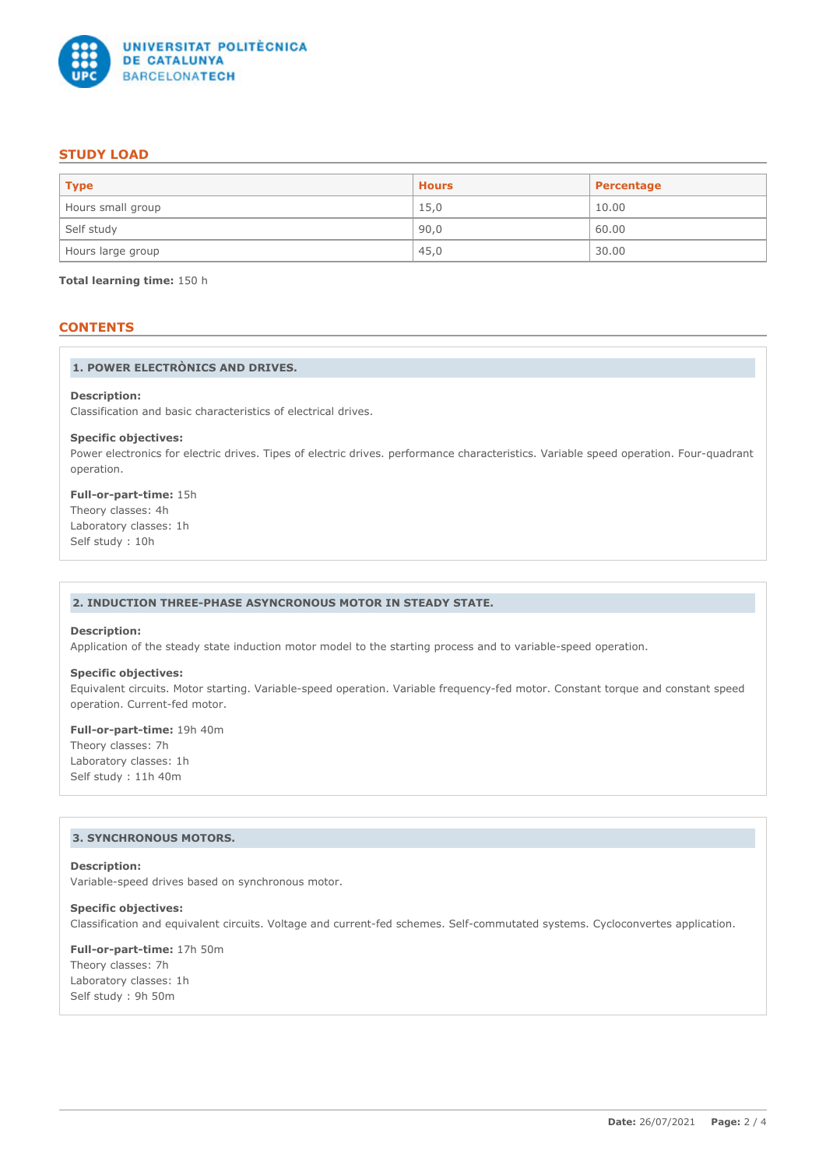

# **STUDY LOAD**

| $ $ Type          | <b>Hours</b> | Percentage |
|-------------------|--------------|------------|
| Hours small group | 15,0         | 10.00      |
| Self study        | 90,0         | 60.00      |
| Hours large group | 45,0         | 30.00      |

**Total learning time:** 150 h

# **CONTENTS**

### **1. POWER ELECTRÒNICS AND DRIVES.**

#### **Description:**

Classification and basic characteristics of electrical drives.

#### **Specific objectives:**

Power electronics for electric drives. Tipes of electric drives. performance characteristics. Variable speed operation. Four-quadrant operation.

**Full-or-part-time:** 15h Theory classes: 4h Laboratory classes: 1h Self study : 10h

### **2. INDUCTION THREE-PHASE ASYNCRONOUS MOTOR IN STEADY STATE.**

## **Description:**

Application of the steady state induction motor model to the starting process and to variable-speed operation.

# **Specific objectives:**

Equivalent circuits. Motor starting. Variable-speed operation. Variable frequency-fed motor. Constant torque and constant speed operation. Current-fed motor.

### **Full-or-part-time:** 19h 40m

Theory classes: 7h Laboratory classes: 1h Self study : 11h 40m

### **3. SYNCHRONOUS MOTORS.**

#### **Description:**

Variable-speed drives based on synchronous motor.

### **Specific objectives:**

Classification and equivalent circuits. Voltage and current-fed schemes. Self-commutated systems. Cycloconvertes application.

**Full-or-part-time:** 17h 50m Theory classes: 7h Laboratory classes: 1h Self study : 9h 50m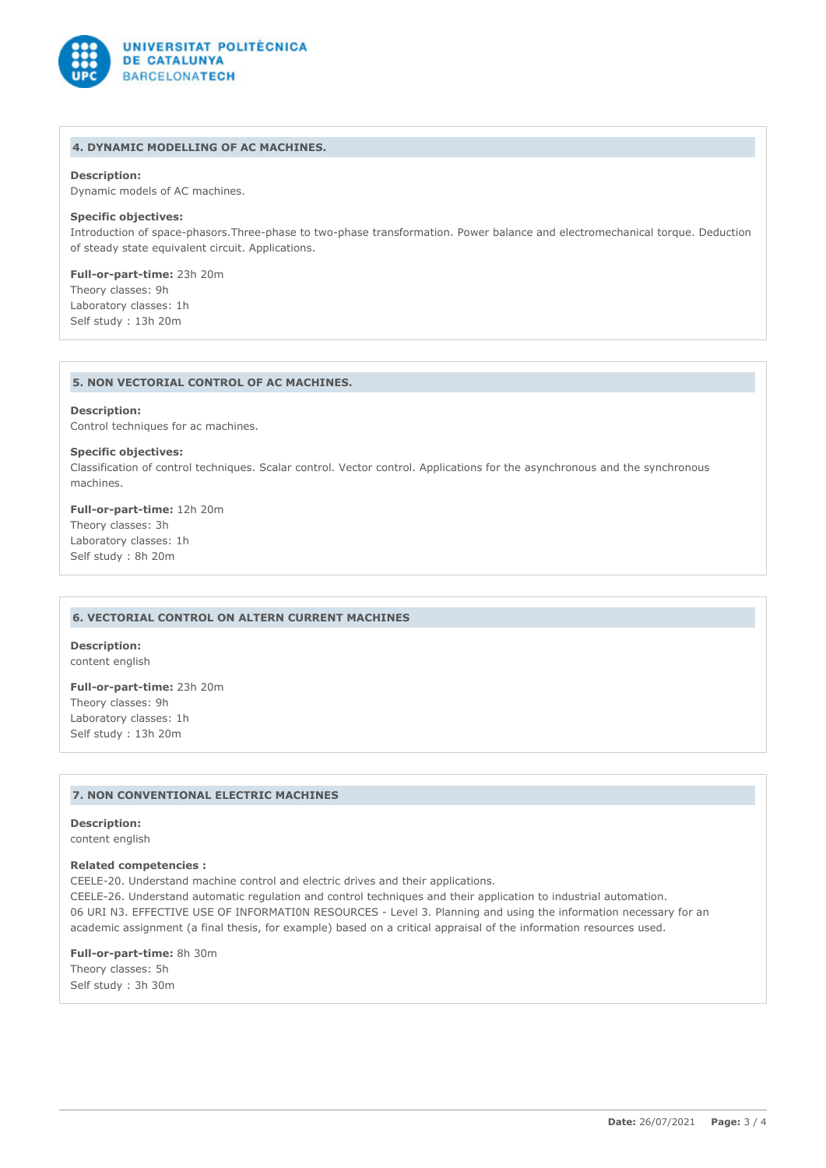

# **4. DYNAMIC MODELLING OF AC MACHINES.**

### **Description:**

Dynamic models of AC machines.

### **Specific objectives:**

Introduction of space-phasors.Three-phase to two-phase transformation. Power balance and electromechanical torque. Deduction of steady state equivalent circuit. Applications.

**Full-or-part-time:** 23h 20m Theory classes: 9h Laboratory classes: 1h Self study : 13h 20m

### **5. NON VECTORIAL CONTROL OF AC MACHINES.**

### **Description:**

Control techniques for ac machines.

### **Specific objectives:**

Classification of control techniques. Scalar control. Vector control. Applications for the asynchronous and the synchronous machines.

## **Full-or-part-time:** 12h 20m Theory classes: 3h Laboratory classes: 1h Self study : 8h 20m

### **6. VECTORIAL CONTROL ON ALTERN CURRENT MACHINES**

**Description:** content english

**Full-or-part-time:** 23h 20m Theory classes: 9h Laboratory classes: 1h Self study : 13h 20m

### **7. NON CONVENTIONAL ELECTRIC MACHINES**

**Description:** content english

### **Related competencies :**

CEELE-20. Understand machine control and electric drives and their applications.

CEELE-26. Understand automatic regulation and control techniques and their application to industrial automation. 06 URI N3. EFFECTIVE USE OF INFORMATI0N RESOURCES - Level 3. Planning and using the information necessary for an academic assignment (a final thesis, for example) based on a critical appraisal of the information resources used.

**Full-or-part-time:** 8h 30m Theory classes: 5h Self study : 3h 30m